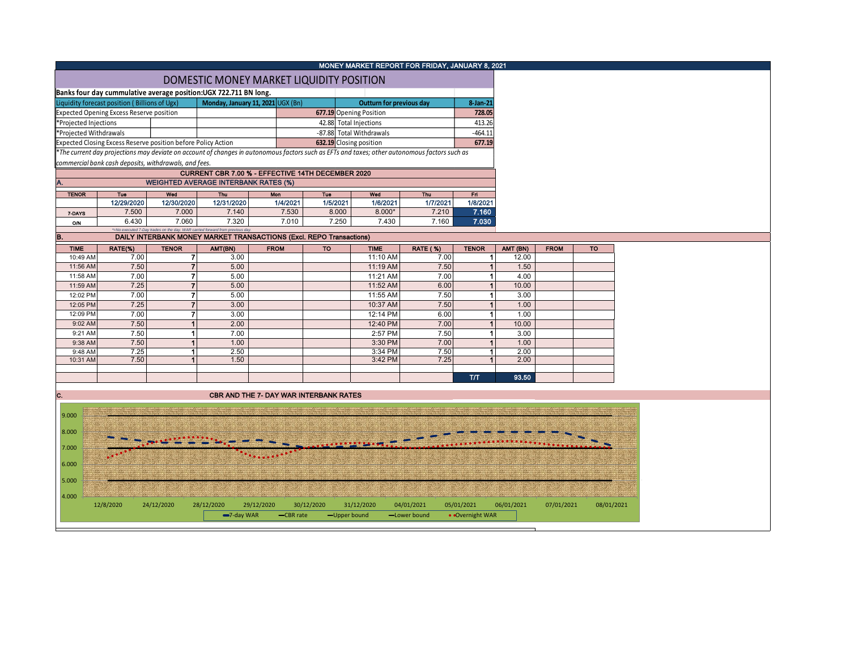|                                                 |                                                                                    |              |                                                                              |                                                                     |                         | MONEY MARKET REPORT FOR FRIDAY, JANUARY 8, 2021                                                                                               |                 |              |          |             |           |  |
|-------------------------------------------------|------------------------------------------------------------------------------------|--------------|------------------------------------------------------------------------------|---------------------------------------------------------------------|-------------------------|-----------------------------------------------------------------------------------------------------------------------------------------------|-----------------|--------------|----------|-------------|-----------|--|
|                                                 |                                                                                    |              |                                                                              | DOMESTIC MONEY MARKET LIQUIDITY POSITION                            |                         |                                                                                                                                               |                 |              |          |             |           |  |
|                                                 | Banks four day cummulative average position: UGX 722.711 BN long.                  |              |                                                                              |                                                                     |                         |                                                                                                                                               |                 |              |          |             |           |  |
|                                                 | Monday, January 11, 2021 UGX (Bn)<br>Liquidity forecast position (Billions of Ugx) |              |                                                                              |                                                                     |                         | Outturn for previous day                                                                                                                      |                 |              |          |             |           |  |
| <b>Expected Opening Excess Reserve position</b> |                                                                                    |              |                                                                              |                                                                     | 677.19 Opening Position | 728.05                                                                                                                                        |                 |              |          |             |           |  |
|                                                 | *Projected Injections                                                              |              |                                                                              |                                                                     |                         | 42.88 Total Injections                                                                                                                        |                 | 413.26       |          |             |           |  |
|                                                 | *Projected Withdrawals                                                             |              |                                                                              |                                                                     |                         | -87.88 Total Withdrawals                                                                                                                      |                 | $-464.11$    |          |             |           |  |
|                                                 | Expected Closing Excess Reserve position before Policy Action                      |              |                                                                              |                                                                     |                         | 632.19 Closing position                                                                                                                       |                 | 677.19       |          |             |           |  |
|                                                 |                                                                                    |              |                                                                              |                                                                     |                         | *The current day projections may deviate on account of changes in autonomous factors such as EFTs and taxes; other autonomous factors such as |                 |              |          |             |           |  |
|                                                 | commercial bank cash deposits, withdrawals, and fees.                              |              |                                                                              |                                                                     |                         |                                                                                                                                               |                 |              |          |             |           |  |
|                                                 |                                                                                    |              |                                                                              | CURRENT CBR 7.00 % - EFFECTIVE 14TH DECEMBER 2020                   |                         |                                                                                                                                               |                 |              |          |             |           |  |
|                                                 |                                                                                    |              | <b>WEIGHTED AVERAGE INTERBANK RATES (%)</b>                                  |                                                                     |                         |                                                                                                                                               |                 |              |          |             |           |  |
| <b>TENOR</b>                                    | Tue                                                                                | Wed          | Thu                                                                          | <b>Mon</b>                                                          | Tue                     | Wed                                                                                                                                           | <b>Thu</b>      | Fri.         |          |             |           |  |
|                                                 | 12/29/2020                                                                         | 12/30/2020   | 12/31/2020                                                                   | 1/4/2021                                                            | 1/5/2021                | 1/6/2021                                                                                                                                      | 1/7/2021        | 1/8/2021     |          |             |           |  |
| 7-DAYS                                          | 7.500                                                                              | 7.000        | 7.140                                                                        | 7.530                                                               | 8.000                   | $8.000*$                                                                                                                                      | 7.210           | 7.160        |          |             |           |  |
| ON                                              | 6.430                                                                              | 7.060        | 7.320                                                                        | 7.010                                                               | 7.250                   | 7.430                                                                                                                                         | 7.160           | 7.030        |          |             |           |  |
| B.                                              |                                                                                    |              | *=No executed 7-Day trades on the day. WAR carried forward from previous day | DAILY INTERBANK MONEY MARKET TRANSACTIONS (Excl. REPO Transactions) |                         |                                                                                                                                               |                 |              |          |             |           |  |
| <b>TIME</b>                                     | RATE(%)                                                                            | <b>TENOR</b> | AMT(BN)                                                                      | <b>FROM</b>                                                         | <b>TO</b>               | <b>TIME</b>                                                                                                                                   | <b>RATE (%)</b> | <b>TENOR</b> | AMT (BN) | <b>FROM</b> | <b>TO</b> |  |
| 10:49 AM                                        | 7.00                                                                               |              | 3.00                                                                         |                                                                     |                         | 11:10 AM                                                                                                                                      | 7.00            |              | 12.00    |             |           |  |
| 11:56 AM                                        | 7.50                                                                               |              | 5.00                                                                         |                                                                     |                         | 11:19 AM                                                                                                                                      | 7.50            |              | 1.50     |             |           |  |
| 11:58 AM                                        | 7.00                                                                               |              | 5.00                                                                         |                                                                     |                         | 11:21 AM                                                                                                                                      | 7.00            |              | 4.00     |             |           |  |
| 11:59 AM                                        | 7.25                                                                               |              | 5.00                                                                         |                                                                     |                         | 11:52 AM                                                                                                                                      | 6.00            |              | 10.00    |             |           |  |
| 12:02 PM                                        | 7.00                                                                               |              | 5.00                                                                         |                                                                     |                         | 11:55 AM                                                                                                                                      | 7.50            |              | 3.00     |             |           |  |
| 12:05 PM                                        | 7.25                                                                               |              | 3.00                                                                         |                                                                     |                         | 10:37 AM                                                                                                                                      | 7.50            |              | 1.00     |             |           |  |
| 12:09 PM                                        | 7.00                                                                               |              | 3.00                                                                         |                                                                     |                         | 12:14 PM                                                                                                                                      | 6.00            |              | 1.00     |             |           |  |
| 9:02 AM                                         | 7.50                                                                               |              | 2.00                                                                         |                                                                     |                         | 12:40 PM                                                                                                                                      | 7.00            |              | 10.00    |             |           |  |
| 9:21 AM                                         | 7.50                                                                               |              | 7.00                                                                         |                                                                     |                         | 2:57 PM                                                                                                                                       | 7.50            |              | 3.00     |             |           |  |
| 9:38 AM                                         | 7.50                                                                               |              |                                                                              |                                                                     |                         |                                                                                                                                               |                 |              |          |             |           |  |



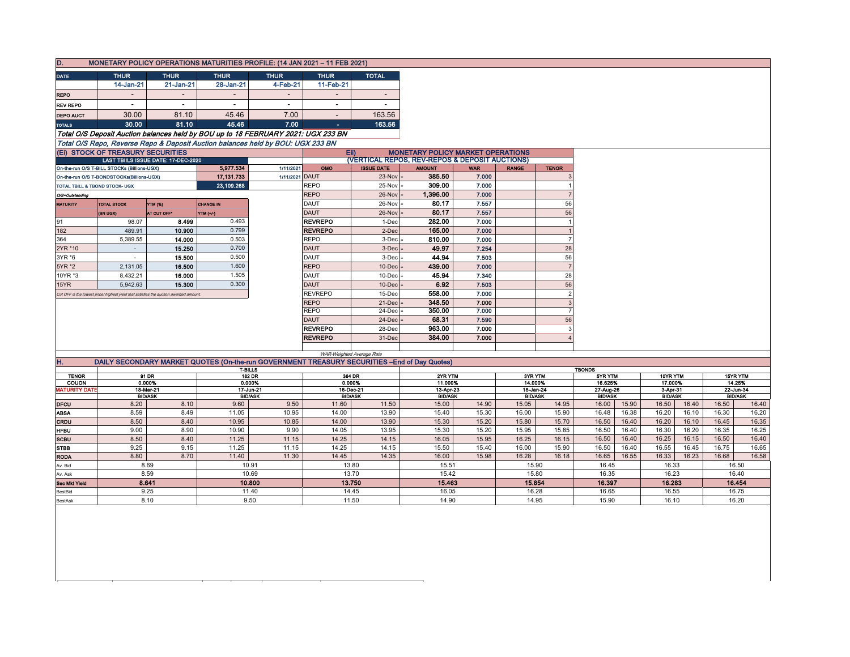| D.                                                                                |                                                                                      |                          |                          | MONETARY POLICY OPERATIONS MATURITIES PROFILE: (14 JAN 2021 - 11 FEB 2021)                         |                            |                                                                                              |                         |                |                             |                                  |                          |                |                         |       |                             |          |
|-----------------------------------------------------------------------------------|--------------------------------------------------------------------------------------|--------------------------|--------------------------|----------------------------------------------------------------------------------------------------|----------------------------|----------------------------------------------------------------------------------------------|-------------------------|----------------|-----------------------------|----------------------------------|--------------------------|----------------|-------------------------|-------|-----------------------------|----------|
| <b>DATE</b>                                                                       | <b>THUR</b>                                                                          | <b>THUR</b>              | <b>THUR</b>              | <b>THUR</b>                                                                                        | <b>THUR</b>                | <b>TOTAL</b>                                                                                 |                         |                |                             |                                  |                          |                |                         |       |                             |          |
|                                                                                   | 14-Jan-21                                                                            | $21 - Jan-21$            | 28-Jan-21                | 4-Feb-21                                                                                           | 11-Feb-21                  |                                                                                              |                         |                |                             |                                  |                          |                |                         |       |                             |          |
| <b>REPO</b>                                                                       | $\overline{a}$                                                                       | $\overline{\phantom{a}}$ | ÷.                       |                                                                                                    |                            |                                                                                              |                         |                |                             |                                  |                          |                |                         |       |                             |          |
| <b>REV REPO</b>                                                                   | $\overline{\phantom{a}}$                                                             |                          | $\overline{\phantom{a}}$ | $\blacksquare$                                                                                     | $\overline{\phantom{a}}$   |                                                                                              |                         |                |                             |                                  |                          |                |                         |       |                             |          |
|                                                                                   |                                                                                      |                          |                          |                                                                                                    |                            |                                                                                              |                         |                |                             |                                  |                          |                |                         |       |                             |          |
| <b>DEPO AUCT</b>                                                                  | 30.00                                                                                | 81.10                    | 45.46                    | 7.00                                                                                               | $\sim$                     | 163.56                                                                                       |                         |                |                             |                                  |                          |                |                         |       |                             |          |
| <b>TOTALS</b>                                                                     | 30.00                                                                                | 81.10                    | 45.46                    | 7.00                                                                                               | ٠                          | 163.56                                                                                       |                         |                |                             |                                  |                          |                |                         |       |                             |          |
| Total O/S Deposit Auction balances held by BOU up to 18 FEBRUARY 2021: UGX 233 BN |                                                                                      |                          |                          |                                                                                                    |                            |                                                                                              |                         |                |                             |                                  |                          |                |                         |       |                             |          |
| Total O/S Repo, Reverse Repo & Deposit Auction balances held by BOU: UGX 233 BN   |                                                                                      |                          |                          |                                                                                                    |                            |                                                                                              |                         |                |                             |                                  |                          |                |                         |       |                             |          |
| (Ei) STOCK OF TREASURY SECURITIES<br>LAST TBIILS ISSUE DATE: 17-DEC-2020          |                                                                                      |                          |                          | <b>MONETARY POLICY MARKET OPERATIONS</b><br>EII)<br>(VERTICAL REPOS, REV-REPOS & DEPOSIT AUCTIONS) |                            |                                                                                              |                         |                |                             |                                  |                          |                |                         |       |                             |          |
|                                                                                   | On-the-run O/S T-BILL STOCKs (Billions-UGX)                                          |                          | 5,977.534                | 1/11/2021                                                                                          | OMO                        | <b>ISSUE DATE</b>                                                                            | <b>AMOUNT</b>           | <b>WAR</b>     | <b>RANGE</b>                | <b>TENOR</b>                     |                          |                |                         |       |                             |          |
|                                                                                   | On-the-run O/S T-BONDSTOCKs(Billions-UGX)                                            |                          | 17, 131.733              | 1/11/2021 DAUT                                                                                     |                            | 23-Nov                                                                                       | 385.50                  | 7.000          |                             |                                  |                          |                |                         |       |                             |          |
| TOTAL TBILL & TBOND STOCK- UGX                                                    |                                                                                      |                          | 23.109.268               |                                                                                                    | <b>REPO</b>                | 25-Nov                                                                                       | 309.00                  | 7.000          |                             |                                  |                          |                |                         |       |                             |          |
| O/S=Outstanding                                                                   |                                                                                      |                          |                          |                                                                                                    | <b>REPO</b>                | 26-Nov                                                                                       | 1,396.00                | 7.000          |                             | $\overline{7}$                   |                          |                |                         |       |                             |          |
| <b>MATURITY</b>                                                                   | <b>TOTAL STOCK</b>                                                                   | <b>YTM (%)</b>           | <b>CHANGE IN</b>         |                                                                                                    | DAUT                       | 26-Nov                                                                                       | 80.17                   | 7.557          |                             | 56                               |                          |                |                         |       |                             |          |
|                                                                                   | (BN UGX)                                                                             | AT CUT OFF               | YTM (+/-)                |                                                                                                    | <b>DAUT</b>                | 26-Nov                                                                                       | 80.17                   | 7.557          |                             | 56                               |                          |                |                         |       |                             |          |
| 91                                                                                | 98.07                                                                                | 8.499                    | 0.493                    |                                                                                                    | <b>REVREPO</b>             | 1-Dec                                                                                        | 282.00                  | 7.000          |                             | $\overline{1}$                   |                          |                |                         |       |                             |          |
| 182                                                                               | 489.91                                                                               | 10.900                   | 0.799                    |                                                                                                    | <b>REVREPO</b>             | 2-Dec                                                                                        | 165.00                  | 7.000          |                             |                                  |                          |                |                         |       |                             |          |
| 364                                                                               | 5,389.55                                                                             | 14.000                   | 0.503                    |                                                                                                    | <b>REPO</b>                | 3-Dec                                                                                        | 810.00                  | 7.000          |                             | $\overline{7}$                   |                          |                |                         |       |                             |          |
| 2YR *10                                                                           | $\sim$                                                                               | 15.250                   | 0.700                    |                                                                                                    | <b>DAUT</b>                | 3-Dec                                                                                        | 49.97                   | 7.254          |                             | 28                               |                          |                |                         |       |                             |          |
| 3YR *6                                                                            | $\sim$                                                                               | 15.500                   | 0.500                    |                                                                                                    | <b>DAUT</b>                | 3-Dec                                                                                        | 44.94                   | 7.503          |                             | 56                               |                          |                |                         |       |                             |          |
| 5YR *2                                                                            | 2,131.05                                                                             | 16.500                   | 1.600                    |                                                                                                    | <b>REPO</b>                | 10-Dec                                                                                       | 439.00                  | 7.000          |                             | $\overline{7}$                   |                          |                |                         |       |                             |          |
| 10YR *3                                                                           | 8,432.21                                                                             | 16.000                   | 1.505                    |                                                                                                    | DAUT                       | 10-Dec                                                                                       | 45.94                   | 7.340          |                             | 28                               |                          |                |                         |       |                             |          |
| 15YR                                                                              | 5,942.63                                                                             | 15.300                   | 0.300                    |                                                                                                    | <b>DAUT</b>                | 10-Dec                                                                                       | 6.92                    | 7.503          |                             | 56                               |                          |                |                         |       |                             |          |
|                                                                                   | Cut OFF is the lowest price/ highest yield that satisfies the auction awarded amount |                          |                          |                                                                                                    | <b>REVREPO</b>             | 15-Dec                                                                                       | 558.00                  | 7.000          |                             | $\overline{2}$                   |                          |                |                         |       |                             |          |
|                                                                                   |                                                                                      |                          |                          |                                                                                                    | <b>REPO</b><br><b>REPO</b> | 21-Dec<br>24-Dec                                                                             | 348.50<br>350.00        | 7.000<br>7.000 |                             | $\overline{3}$<br>$\overline{7}$ |                          |                |                         |       |                             |          |
|                                                                                   |                                                                                      |                          |                          |                                                                                                    | <b>DAUT</b>                | 24-Dec                                                                                       | 68.31                   | 7.590          |                             | 56                               |                          |                |                         |       |                             |          |
|                                                                                   |                                                                                      |                          |                          |                                                                                                    | <b>REVREPO</b>             | 28-Dec                                                                                       | 963.00                  | 7.000          |                             | 3                                |                          |                |                         |       |                             |          |
|                                                                                   |                                                                                      |                          |                          |                                                                                                    | <b>REVREPO</b>             | 31-Dec                                                                                       | 384.00                  | 7.000          |                             |                                  |                          |                |                         |       |                             |          |
|                                                                                   |                                                                                      |                          |                          |                                                                                                    |                            |                                                                                              |                         |                |                             |                                  |                          |                |                         |       |                             |          |
|                                                                                   |                                                                                      |                          |                          |                                                                                                    |                            | WAR-Weighted Average Rate                                                                    |                         |                |                             |                                  |                          |                |                         |       |                             |          |
| Η.                                                                                |                                                                                      |                          |                          |                                                                                                    |                            | DAILY SECONDARY MARKET QUOTES (On-the-run GOVERNMENT TREASURY SECURITIES -End of Day Quotes) |                         |                |                             |                                  |                          |                |                         |       |                             |          |
| <b>TENOR</b>                                                                      |                                                                                      | 91 DR                    | <b>T-BILLS</b>           | <b>182 DR</b>                                                                                      |                            | 364 DR                                                                                       | 2YR YTM                 |                | 3YR YTM                     |                                  | <b>TBONDS</b><br>5YR YTM |                | 10YR YTM                |       |                             | 15YR YTM |
| COUON                                                                             |                                                                                      | 0.000%                   |                          | 0.000%                                                                                             |                            | 0.000%                                                                                       | 11.000%                 |                | 14.000%                     |                                  | 16.625%                  |                | 17.000%                 |       |                             | 14.25%   |
| <b>MATURITY DATE</b>                                                              | 18-Mar-21<br><b>BID/ASK</b>                                                          |                          |                          | 17 Jun 21                                                                                          |                            | 16-Dec-21                                                                                    | 13-Apr-23               |                | 18-Jan-24<br><b>BID/ASK</b> |                                  | 27-Aug-26                |                | 3-Apr-31                |       | 22-Jun-34<br><b>BID/ASK</b> |          |
| <b>DFCU</b>                                                                       | 8.20                                                                                 | 8.10                     | 9.60                     | <b>BID/ASK</b><br>9.50                                                                             | 11.60                      | <b>BID/ASK</b><br>11.50                                                                      | <b>BID/ASK</b><br>15.00 | 14.90          | 15.05                       | 14.95                            | <b>BID/ASK</b><br>16.00  | 15.90          | <b>BID/ASK</b><br>16.50 | 16.40 | 16.50                       | 16.40    |
| <b>ABSA</b>                                                                       | 8.59                                                                                 | 8.49                     | 11.05                    | 10.95                                                                                              | 14.00                      | 13.90                                                                                        | 15.40                   | 15.30          | 16.00                       | 15.90                            | 16.48                    | 16.38          | 16.20                   | 16.10 | 16.30                       | 16.20    |
| CRDU                                                                              | 8.50                                                                                 | 8.40                     | 10.95                    | 10.85                                                                                              | 14.00                      | 13.90                                                                                        | 15.30                   | 15.20          | 15.80                       | 15.70                            | 16.50                    | 16.40          | 16.20                   | 16.10 | 16.45                       | 16.35    |
| <b>HFBU</b>                                                                       | 9.00                                                                                 | 8.90                     | 10.90                    | 9.90                                                                                               | 14.05                      | 13.95                                                                                        | 15.30                   | 15.20          | 15.95                       | 15.85                            | 16.50                    | 16.40          | 16.30                   | 16.20 | 16.35                       | 16.25    |
| <b>SCBU</b>                                                                       | 8.50                                                                                 | 8.40                     | 11.25                    | 11.15                                                                                              | 14.25                      | 14.15                                                                                        | 16.05                   | 15.95          | 16.25                       | 16.15                            | 16.50                    | 16.40          | 16.25                   | 16.15 | 16.50                       | 16.40    |
| <b>STBB</b>                                                                       | 9.25                                                                                 | 9.15                     | 11.25                    | 11.15                                                                                              | 14.25                      | 14.15                                                                                        | 15.50                   | 15.40          | 16.00                       | 15.90                            | 16.50                    | 16.40          | 16.55                   | 16.45 | 16.75                       | 16.65    |
| <b>RODA</b>                                                                       | 8.80                                                                                 | 8.70                     | 11.40                    | 11.30                                                                                              | 14.45                      | 14.35                                                                                        | 16.00                   | 15.98          | 16.28                       | 16.18                            | 16.65                    | 16.55          | 16.33                   | 16.23 | 16.68                       | 16.58    |
| 8.69<br>Av. Bid                                                                   |                                                                                      |                          | 10.91                    |                                                                                                    | 13.80                      |                                                                                              | 15.51<br>15.90          |                |                             | 16.45                            |                          | 16.33          |                         | 16.50 |                             |          |
| Av. Ask                                                                           |                                                                                      | 8.59                     |                          | 10.69                                                                                              |                            | 13.70                                                                                        | 15.42                   |                | 15.80                       |                                  | 16.35                    |                | 16.23                   |       | 16.40                       |          |
| Sec Mkt Yield                                                                     |                                                                                      | 8.641                    |                          | 10.800                                                                                             |                            | 13.750                                                                                       | 15.463                  |                | 15.854                      |                                  | 16.397                   |                | 16.283                  |       |                             | 16.454   |
| BestBid                                                                           |                                                                                      | 9.25                     |                          | 11.40                                                                                              |                            | 14.45                                                                                        | 16.05                   |                | 16.28                       |                                  |                          | 16.65<br>16.55 |                         |       |                             | 16.75    |
| <b>BestAsk</b>                                                                    |                                                                                      | 8.10                     |                          | 9.50                                                                                               |                            | 11.50                                                                                        | 14.90                   |                | 14.95                       |                                  | 15.90                    |                | 16.10                   |       |                             | 16.20    |

 $\mathbb{R}$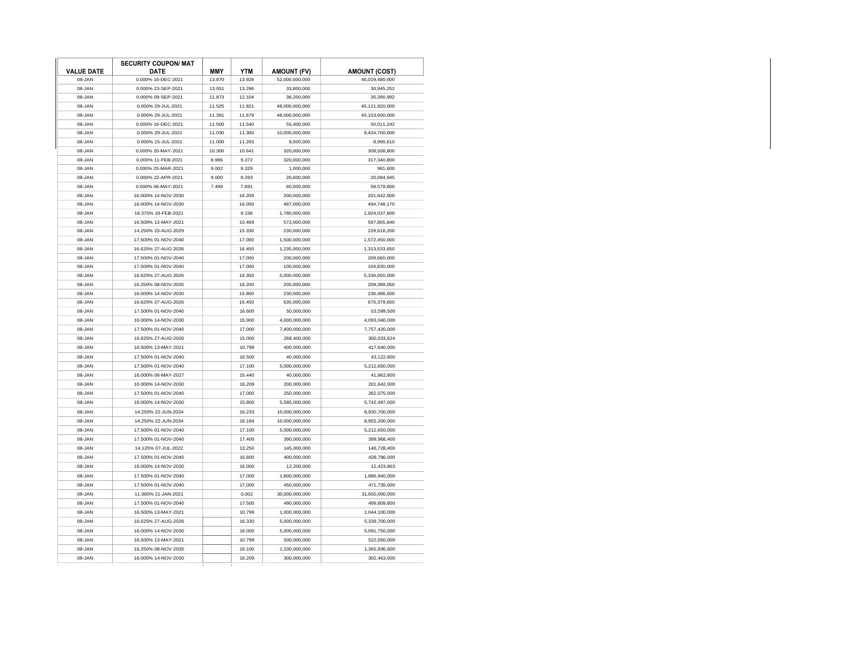|                   | <b>SECURITY COUPON/ MAT</b> |            |        |                    |                      |
|-------------------|-----------------------------|------------|--------|--------------------|----------------------|
| <b>VALUE DATE</b> | <b>DATE</b>                 | <b>MMY</b> | YTM    | <b>AMOUNT (FV)</b> | <b>AMOUNT (COST)</b> |
| 08-JAN            | 0.000% 16-DEC-2021          | 13.870     | 13.928 | 52,000,000,000     | 46,019,480,000       |
| 08-JAN            | 0.000% 23-SEP-2021          | 13.051     | 13.296 | 33,800,000         | 30.945.252           |
| 08-JAN            | 0.000% 09-SEP-2021          | 11.873     | 12.104 | 38,200,000         | 35,390,992           |
| 08-JAN            | 0.000% 29-JUL-2021          | 11.525     | 11.821 | 48,000,000,000     | 45,121,920,000       |
| 08-JAN            | 0.000% 29-JUL-2021          | 11.391     | 11.679 | 48,000,000,000     | 45,153,600,000       |
| 08-JAN            | 0.000% 16-DEC-2021          | 11.500     | 11.540 | 55,400,000         | 50,011,242           |
| 08-JAN            | 0.000% 29-JUL-2021          | 11.030     | 11.300 | 10,000,000,000     | 9,424,700,000        |
| 08-JAN            | 0.000% 15-JUL-2021          | 11.000     | 11.293 | 9,500,000          | 8,990,610            |
| 08-JAN            | 0.000% 20-MAY-2021          | 10.300     | 10.641 | 320,000,000        | 308,508,800          |
| 08-JAN            | 0.000% 11-FEB-2021          | 8.996      | 9.372  | 320,000,000        | 317,340,800          |
| 08-JAN            | 0.000% 25-MAR-2021          | 9.002      | 9.329  | 1,000,000          | 981,600              |
| 08-JAN            | 0.000% 22-APR-2021          | 9.000      | 9.293  | 20,600,000         | 20,084,945           |
| 08-JAN            | 0.000% 06-MAY-2021          | 7.499      | 7.691  | 60,000,000         | 58,579,800           |
| 08-JAN            | 16.000% 14-NOV-2030         |            | 16.209 | 200.000.000        | 201,642,000          |
| 08-JAN            | 16.000% 14-NOV-2030         |            | 16.050 | 487,000,000        | 494,748,170          |
| 08-JAN            | 18.375% 18-FEB-2021         |            | 9.156  | 1,780,000,000      | 1,924,037,600        |
| 08-JAN            | 16.500% 13-MAY-2021         |            | 10.469 | 572,000,000        | 597,865,840          |
| 08-JAN            | 14.250% 23-AUG-2029         |            | 15.330 | 230,000,000        | 229,618,200          |
| 08-JAN            | 17.500% 01-NOV-2040         |            | 17.000 | 1,500,000,000      | 1,572,450,000        |
| 08-JAN            | 16.625% 27-AUG-2026         |            | 16.450 | 1,235,000,000      | 1,313,533,650        |
| 08-JAN            | 17.500% 01-NOV-2040         |            | 17,000 | 200,000,000        | 209,660,000          |
| 08-JAN            | 17.500% 01-NOV-2040         |            | 17,000 | 100.000.000        | 104.830.000          |
| 08-JAN            | 16.625% 27-AUG-2026         |            | 16.350 | 5,000,000,000      | 5,336,050,000        |
| 08-JAN            | 16.250% 08-NOV-2035         |            | 16.200 | 205,000,000        | 209,389,050          |
|                   |                             |            |        |                    |                      |
| 08-JAN            | 16.000% 14-NOV-2030         |            | 15.800 | 230.000.000        | 236,486,000          |
| 08-JAN            | 16.625% 27-AUG-2026         |            | 16.450 | 635,000,000        | 675,379,650          |
| 08-JAN            | 17.500% 01-NOV-2040         |            | 16,600 | 50,000,000         | 53,599,500           |
| 08-JAN            | 16.000% 14-NOV-2030         |            | 15.900 | 4,000,000,000      | 4,093,040,000        |
| 08-JAN            | 17.500% 01-NOV-2040         |            | 17.000 | 7,400,000,000      | 7,757,420,000        |
| 08-JAN            | 16.625% 27-AUG-2026         |            | 15.000 | 268,400,000        | 300,033,624          |
| 08-JAN            | 16.500% 13-MAY-2021         |            | 10.799 | 400,000,000        | 417,640,000          |
| 08-JAN            | 17.500% 01-NOV-2040         |            | 16.500 | 40,000,000         | 43,122,800           |
| 08-JAN            | 17.500% 01-NOV-2040         |            | 17.100 | 5,000,000,000      | 5,212,650,000        |
| 08-JAN            | 16.000% 06-MAY-2027         |            | 15.440 | 40,000,000         | 41,862,800           |
| 08-JAN            | 16.000% 14-NOV-2030         |            | 16.209 | 200,000,000        | 201,642,000          |
| 08-JAN            | 17.500% 01-NOV-2040         |            | 17.000 | 250,000,000        | 262,075,000          |
| 08-JAN            | 16.000% 14-NOV-2030         |            | 15.800 | 5,585,000,000      | 5,742,497,000        |
| 08-JAN            | 14.250% 22-JUN-2034         |            | 16.233 | 10,000,000,000     | 8,930,700,000        |
| 08-JAN            | 14.250% 22-JUN-2034         |            | 16.184 | 10,000,000,000     | 8,955,200,000        |
| 08-JAN            | 17.500% 01-NOV-2040         |            | 17.100 | 5,000,000,000      | 5,212,650,000        |
| 08-JAN            | 17.500% 01-NOV-2040         |            | 17,400 | 390,000,000        | 399.968.400          |
| 08-JAN            | 14.125% 07-JUL-2022         |            | 13.250 | 145,000,000        | 146,728,400          |
| 08-JAN            | 17.500% 01-NOV-2040         |            | 16,600 | 400,000,000        | 428,796,000          |
| 08-JAN            | 16.000% 14-NOV-2030         |            | 16.000 | 12,200,000         | 12,423,863           |
| 08-JAN            | 17.500% 01-NOV-2040         |            | 17,000 | 1,800,000,000      | 1,886,940,000        |
| 08-JAN            | 17.500% 01-NOV-2040         |            | 17.000 | 450,000,000        | 471,735,000          |
| 08-JAN            | 11.000% 21-JAN-2021         |            | 0.002  | 30,000,000,000     | 31,650,000,000       |
|                   |                             |            |        |                    |                      |
| 08-JAN            | 17.500% 01-NOV-2040         |            | 17.500 | 490,000,000        | 499,809,800          |
| 08-JAN            | 16.500% 13-MAY-2021         |            | 10.799 | 1,000,000,000      | 1,044,100,000        |
| 08-JAN            | 16.625% 27-AUG-2026         |            | 16.330 | 5,000,000,000      | 5,339,700,000        |
| 08-JAN            | 16.000% 14-NOV-2030         |            | 16.000 | 5,000,000,000      | 5,091,750,000        |
| 08-JAN            | 16.500% 13-MAY-2021         |            | 10.799 | 500,000,000        | 522,050,000          |
| 08-JAN            | 16.250% 08-NOV-2035         |            | 16.100 | 1,330,000,000      | 1,365,936,600        |
| 08-JAN            | 16.000% 14-NOV-2030         |            | 16.209 | 300.000.000        | 302.463.000          |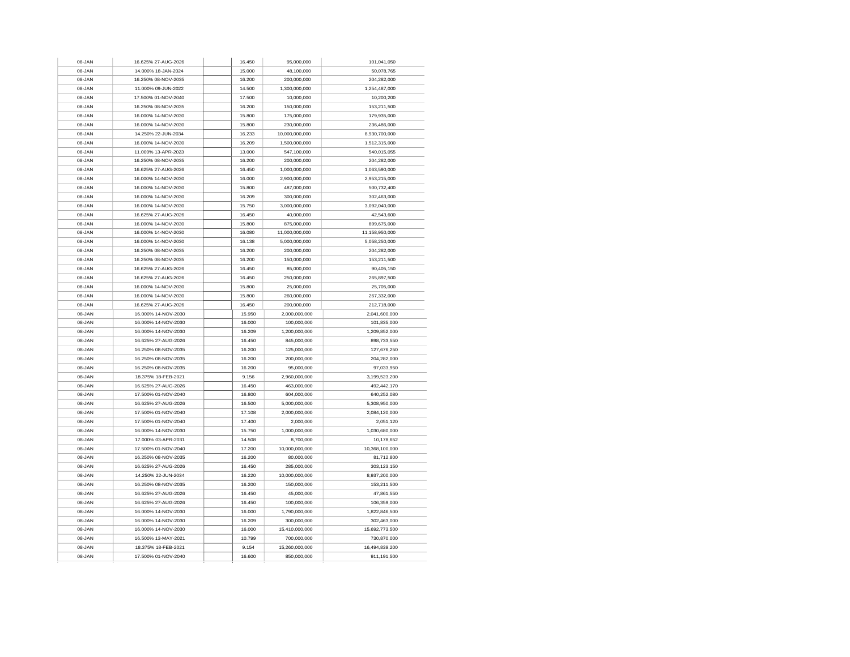| 08-JAN | 16.625% 27-AUG-2026 | 16.450 | 95,000,000     | 101,041,050    |
|--------|---------------------|--------|----------------|----------------|
| 08-JAN | 14.000% 18-JAN-2024 | 15.000 | 48,100,000     | 50,078,765     |
| 08-JAN | 16.250% 08-NOV-2035 | 16.200 | 200,000,000    | 204,282,000    |
| 08-JAN | 11.000% 09-JUN-2022 | 14.500 | 1,300,000,000  | 1,254,487,000  |
| 08-JAN | 17.500% 01-NOV-2040 | 17.500 | 10,000,000     | 10,200,200     |
| 08-JAN | 16.250% 08-NOV-2035 | 16.200 | 150,000,000    | 153,211,500    |
| 08-JAN | 16.000% 14-NOV-2030 | 15,800 | 175,000,000    | 179.935.000    |
| 08-JAN | 16.000% 14-NOV-2030 | 15.800 | 230,000,000    | 236,486,000    |
| 08-JAN | 14.250% 22-JUN-2034 | 16.233 | 10,000,000,000 | 8,930,700,000  |
| 08-JAN | 16.000% 14-NOV-2030 | 16.209 | 1,500,000,000  | 1,512,315,000  |
| 08-JAN | 11.000% 13-APR-2023 | 13,000 | 547,100,000    | 540,015,055    |
| 08-JAN | 16.250% 08-NOV-2035 | 16,200 | 200,000,000    | 204,282,000    |
| 08-JAN | 16.625% 27-AUG-2026 | 16.450 | 1,000,000,000  | 1,063,590,000  |
| 08-JAN | 16.000% 14-NOV-2030 | 16,000 | 2,900,000,000  | 2,953,215,000  |
| 08-JAN | 16.000% 14-NOV-2030 | 15,800 | 487,000,000    | 500,732,400    |
| 08-JAN | 16.000% 14-NOV-2030 | 16.209 | 300,000,000    | 302,463,000    |
| 08-JAN | 16.000% 14-NOV-2030 | 15.750 | 3,000,000,000  | 3,092,040,000  |
| 08-JAN | 16.625% 27-AUG-2026 | 16.450 | 40,000,000     | 42,543,600     |
| 08-JAN | 16.000% 14-NOV-2030 | 15.800 | 875,000,000    | 899,675,000    |
| 08-JAN | 16.000% 14-NOV-2030 | 16.080 | 11,000,000,000 | 11,158,950,000 |
| 08-JAN | 16.000% 14-NOV-2030 | 16.138 | 5,000,000,000  | 5,058,250,000  |
| 08-JAN | 16.250% 08-NOV-2035 | 16.200 | 200,000,000    | 204,282,000    |
| 08-JAN | 16.250% 08-NOV-2035 | 16.200 | 150,000,000    | 153,211,500    |
| 08-JAN | 16.625% 27-AUG-2026 | 16.450 | 85,000,000     | 90,405,150     |
| 08-JAN | 16.625% 27-AUG-2026 | 16.450 | 250,000,000    | 265,897,500    |
| 08-JAN | 16.000% 14-NOV-2030 | 15.800 | 25,000,000     | 25,705,000     |
| 08-JAN | 16.000% 14-NOV-2030 | 15.800 | 260,000,000    | 267,332,000    |
| 08-JAN | 16.625% 27-AUG-2026 | 16.450 | 200.000.000    | 212,718,000    |
| 08-JAN | 16.000% 14-NOV-2030 | 15.950 | 2.000.000.000  | 2.041.600.000  |
| 08-JAN | 16.000% 14-NOV-2030 | 16.000 | 100,000,000    | 101,835,000    |
| 08-JAN | 16.000% 14-NOV-2030 | 16.209 | 1,200,000,000  | 1,209,852,000  |
| 08-JAN | 16.625% 27-AUG-2026 | 16.450 | 845,000,000    | 898,733,550    |
| 08-JAN | 16.250% 08-NOV-2035 | 16.200 | 125,000,000    | 127,676,250    |
| 08-JAN | 16.250% 08-NOV-2035 | 16.200 | 200,000,000    | 204,282,000    |
| 08-JAN | 16.250% 08-NOV-2035 | 16.200 | 95.000.000     | 97.033.950     |
| 08-JAN | 18.375% 18-FEB-2021 | 9.156  | 2,960,000,000  | 3,199,523,200  |
| 08-JAN | 16.625% 27-AUG-2026 | 16.450 | 463,000,000    | 492,442,170    |
| 08-JAN | 17.500% 01-NOV-2040 | 16,800 | 604,000,000    | 640,252,080    |
| 08-JAN | 16.625% 27-AUG-2026 | 16.500 | 5,000,000,000  | 5,308,950,000  |
| 08-JAN | 17.500% 01-NOV-2040 | 17.108 | 2,000,000,000  | 2,084,120,000  |
| 08-JAN | 17.500% 01-NOV-2040 | 17,400 | 2.000.000      | 2,051,120      |
| 08-JAN | 16.000% 14-NOV-2030 | 15.750 | 1,000,000,000  | 1,030,680,000  |
| 08-JAN | 17.000% 03-APR-2031 | 14.508 | 8,700,000      | 10,178,652     |
| 08-JAN | 17.500% 01-NOV-2040 | 17.200 | 10,000,000,000 | 10,368,100,000 |
| 08-JAN | 16.250% 08-NOV-2035 | 16.200 | 80,000,000     | 81,712,800     |
| 08-JAN | 16.625% 27-AUG-2026 | 16.450 | 285,000,000    | 303,123,150    |
| 08-JAN | 14.250% 22-JUN-2034 | 16.220 | 10.000.000.000 | 8.937.200.000  |
| 08-JAN | 16.250% 08-NOV-2035 | 16.200 | 150,000,000    | 153,211,500    |
| 08-JAN | 16.625% 27-AUG-2026 | 16.450 | 45,000,000     | 47,861,550     |
| 08-JAN | 16.625% 27-AUG-2026 | 16.450 | 100.000.000    | 106.359.000    |
| 08-JAN | 16.000% 14-NOV-2030 | 16.000 | 1,790,000,000  | 1,822,846,500  |
| 08-JAN | 16.000% 14-NOV-2030 | 16.209 | 300,000,000    | 302,463,000    |
| 08-JAN | 16.000% 14-NOV-2030 | 16.000 | 15,410,000,000 | 15,692,773,500 |
| 08-JAN | 16.500% 13-MAY-2021 | 10.799 | 700,000,000    | 730,870,000    |
| 08-JAN | 18.375% 18-FEB-2021 | 9.154  | 15,260,000,000 | 16,494,839,200 |
| 08-JAN | 17.500% 01-NOV-2040 | 16,600 | 850,000,000    | 911,191,500    |